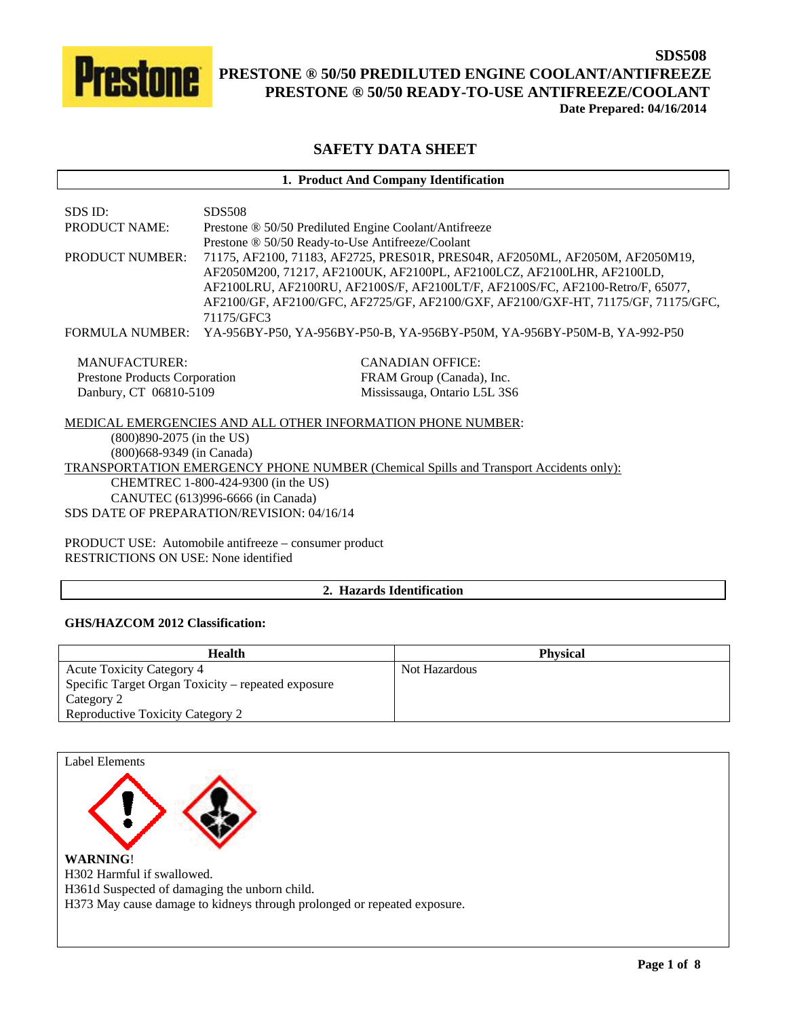

# **SAFETY DATA SHEET**

## **1. Product And Company Identification**

| SDS ID:                              | <b>SDS508</b>                                                                                                                                                                                                                                                                                                                                |  |  |
|--------------------------------------|----------------------------------------------------------------------------------------------------------------------------------------------------------------------------------------------------------------------------------------------------------------------------------------------------------------------------------------------|--|--|
| <b>PRODUCT NAME:</b>                 | Prestone ® 50/50 Prediluted Engine Coolant/Antifreeze                                                                                                                                                                                                                                                                                        |  |  |
|                                      | Prestone ® 50/50 Ready-to-Use Antifreeze/Coolant                                                                                                                                                                                                                                                                                             |  |  |
| <b>PRODUCT NUMBER:</b>               | 71175, AF2100, 71183, AF2725, PRES01R, PRES04R, AF2050ML, AF2050M, AF2050M19,<br>AF2050M200, 71217, AF2100UK, AF2100PL, AF2100LCZ, AF2100LHR, AF2100LD,<br>AF2100LRU, AF2100RU, AF2100S/F, AF2100LT/F, AF2100S/FC, AF2100-Retro/F, 65077,<br>AF2100/GF, AF2100/GFC, AF2725/GF, AF2100/GXF, AF2100/GXF-HT, 71175/GF, 71175/GFC,<br>71175/GFC3 |  |  |
| <b>FORMULA NUMBER:</b>               | YA-956BY-P50, YA-956BY-P50-B, YA-956BY-P50M, YA-956BY-P50M-B, YA-992-P50                                                                                                                                                                                                                                                                     |  |  |
| MANUFACTURER:                        | <b>CANADIAN OFFICE:</b>                                                                                                                                                                                                                                                                                                                      |  |  |
| <b>Prestone Products Corporation</b> | FRAM Group (Canada), Inc.                                                                                                                                                                                                                                                                                                                    |  |  |
| Danbury, CT 06810-5109               | Mississauga, Ontario L5L 3S6                                                                                                                                                                                                                                                                                                                 |  |  |
|                                      | MEDICAL EMERGENCIES AND ALL OTHER INFORMATION PHONE NUMBER:                                                                                                                                                                                                                                                                                  |  |  |
| $(800)890 - 2075$ (in the US)        |                                                                                                                                                                                                                                                                                                                                              |  |  |
| (800) 668-9349 (in Canada)           |                                                                                                                                                                                                                                                                                                                                              |  |  |
|                                      | <b>TRANSPORTATION EMERGENCY PHONE NUMBER (Chemical Spills and Transport Accidents only):</b>                                                                                                                                                                                                                                                 |  |  |
|                                      | CHEMTREC 1-800-424-9300 (in the US)                                                                                                                                                                                                                                                                                                          |  |  |
|                                      | CANUTEC (613)996-6666 (in Canada)                                                                                                                                                                                                                                                                                                            |  |  |
|                                      | SDS DATE OF PREPARATION/REVISION: 04/16/14                                                                                                                                                                                                                                                                                                   |  |  |
|                                      | PRODUCT USE: Automobile antifreeze – consumer product                                                                                                                                                                                                                                                                                        |  |  |

RESTRICTIONS ON USE: None identified

# **2. Hazards Identification**

# **GHS/HAZCOM 2012 Classification:**

| Health                                             | <b>Physical</b> |
|----------------------------------------------------|-----------------|
| <b>Acute Toxicity Category 4</b>                   | Not Hazardous   |
| Specific Target Organ Toxicity – repeated exposure |                 |
| Category 2                                         |                 |
| <b>Reproductive Toxicity Category 2</b>            |                 |

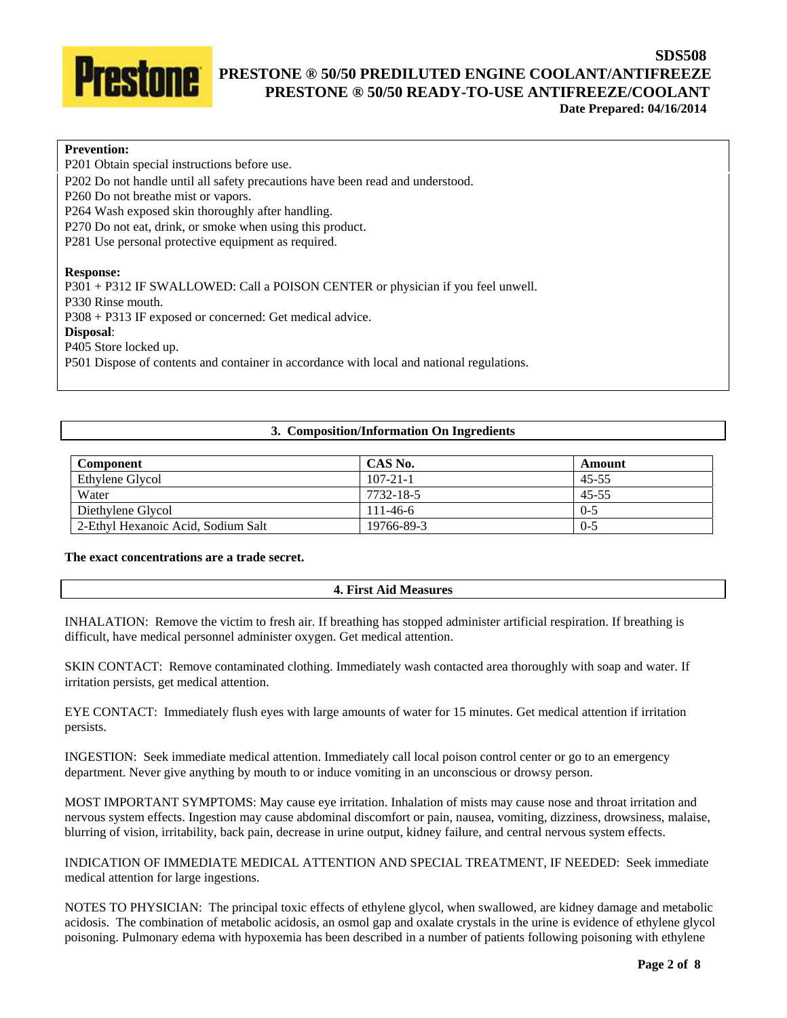

# **Prevention:**

P201 Obtain special instructions before use.

P202 Do not handle until all safety precautions have been read and understood.

P260 Do not breathe mist or vapors.

P264 Wash exposed skin thoroughly after handling.

P270 Do not eat, drink, or smoke when using this product.

P281 Use personal protective equipment as required.

#### **Response:**

P301 + P312 IF SWALLOWED: Call a POISON CENTER or physician if you feel unwell.

P330 Rinse mouth.

P308 + P313 IF exposed or concerned: Get medical advice.

#### **Disposal**:

P405 Store locked up.

P501 Dispose of contents and container in accordance with local and national regulations.

## **3. Composition/Information On Ingredients**

| Component                          | CAS No.        | Amount    |
|------------------------------------|----------------|-----------|
| Ethylene Glycol                    | $107 - 21 - 1$ | $45 - 55$ |
| Water                              | 7732-18-5      | $45 - 55$ |
| Diethylene Glycol                  | $111 - 46 - 6$ | $0 - 5$   |
| 2-Ethyl Hexanoic Acid, Sodium Salt | 19766-89-3     | $0 - 5$   |

# **The exact concentrations are a trade secret.**

#### **4. First Aid Measures**

INHALATION: Remove the victim to fresh air. If breathing has stopped administer artificial respiration. If breathing is difficult, have medical personnel administer oxygen. Get medical attention.

SKIN CONTACT: Remove contaminated clothing. Immediately wash contacted area thoroughly with soap and water. If irritation persists, get medical attention.

EYE CONTACT: Immediately flush eyes with large amounts of water for 15 minutes. Get medical attention if irritation persists.

INGESTION: Seek immediate medical attention. Immediately call local poison control center or go to an emergency department. Never give anything by mouth to or induce vomiting in an unconscious or drowsy person.

MOST IMPORTANT SYMPTOMS: May cause eye irritation. Inhalation of mists may cause nose and throat irritation and nervous system effects. Ingestion may cause abdominal discomfort or pain, nausea, vomiting, dizziness, drowsiness, malaise, blurring of vision, irritability, back pain, decrease in urine output, kidney failure, and central nervous system effects.

INDICATION OF IMMEDIATE MEDICAL ATTENTION AND SPECIAL TREATMENT, IF NEEDED: Seek immediate medical attention for large ingestions.

NOTES TO PHYSICIAN: The principal toxic effects of ethylene glycol, when swallowed, are kidney damage and metabolic acidosis. The combination of metabolic acidosis, an osmol gap and oxalate crystals in the urine is evidence of ethylene glycol poisoning. Pulmonary edema with hypoxemia has been described in a number of patients following poisoning with ethylene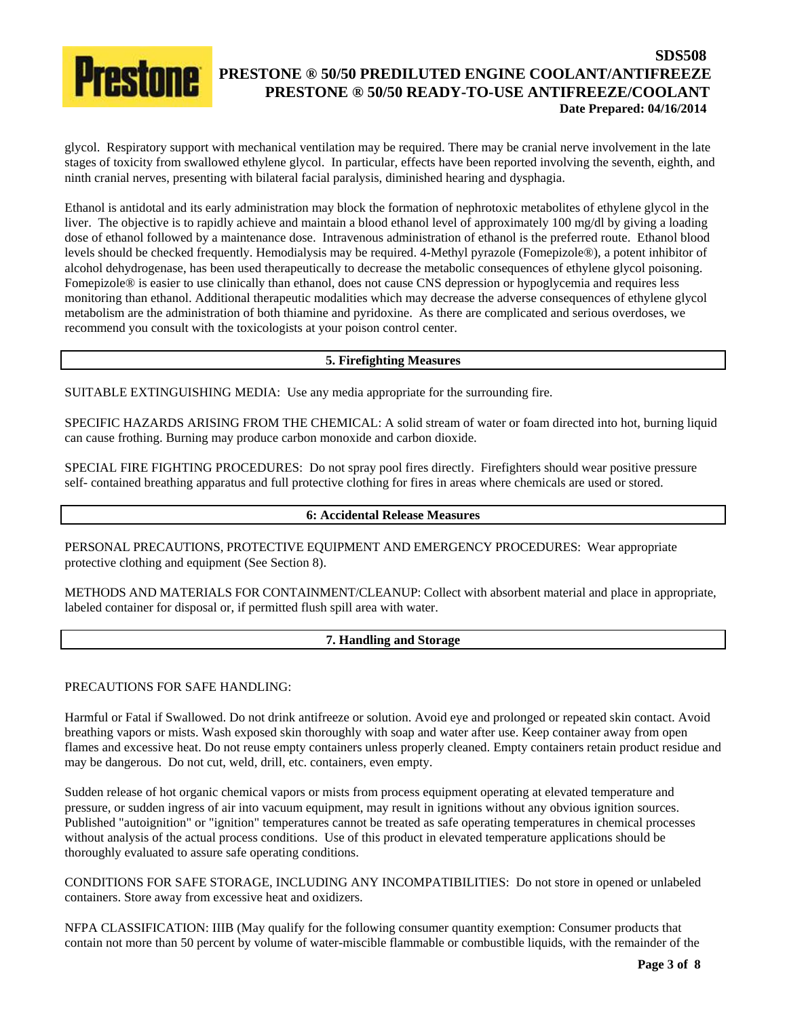glycol. Respiratory support with mechanical ventilation may be required. There may be cranial nerve involvement in the late stages of toxicity from swallowed ethylene glycol. In particular, effects have been reported involving the seventh, eighth, and ninth cranial nerves, presenting with bilateral facial paralysis, diminished hearing and dysphagia.

Ethanol is antidotal and its early administration may block the formation of nephrotoxic metabolites of ethylene glycol in the liver. The objective is to rapidly achieve and maintain a blood ethanol level of approximately 100 mg/dl by giving a loading dose of ethanol followed by a maintenance dose. Intravenous administration of ethanol is the preferred route. Ethanol blood levels should be checked frequently. Hemodialysis may be required. 4-Methyl pyrazole (Fomepizole®), a potent inhibitor of alcohol dehydrogenase, has been used therapeutically to decrease the metabolic consequences of ethylene glycol poisoning. Fomepizole® is easier to use clinically than ethanol, does not cause CNS depression or hypoglycemia and requires less monitoring than ethanol. Additional therapeutic modalities which may decrease the adverse consequences of ethylene glycol metabolism are the administration of both thiamine and pyridoxine. As there are complicated and serious overdoses, we recommend you consult with the toxicologists at your poison control center.

## **5. Firefighting Measures**

SUITABLE EXTINGUISHING MEDIA: Use any media appropriate for the surrounding fire.

SPECIFIC HAZARDS ARISING FROM THE CHEMICAL: A solid stream of water or foam directed into hot, burning liquid can cause frothing. Burning may produce carbon monoxide and carbon dioxide.

SPECIAL FIRE FIGHTING PROCEDURES: Do not spray pool fires directly. Firefighters should wear positive pressure self- contained breathing apparatus and full protective clothing for fires in areas where chemicals are used or stored.

## **6: Accidental Release Measures**

PERSONAL PRECAUTIONS, PROTECTIVE EQUIPMENT AND EMERGENCY PROCEDURES: Wear appropriate protective clothing and equipment (See Section 8).

METHODS AND MATERIALS FOR CONTAINMENT/CLEANUP: Collect with absorbent material and place in appropriate, labeled container for disposal or, if permitted flush spill area with water.

## **7. Handling and Storage**

#### PRECAUTIONS FOR SAFE HANDLING:

Harmful or Fatal if Swallowed. Do not drink antifreeze or solution. Avoid eye and prolonged or repeated skin contact. Avoid breathing vapors or mists. Wash exposed skin thoroughly with soap and water after use. Keep container away from open flames and excessive heat. Do not reuse empty containers unless properly cleaned. Empty containers retain product residue and may be dangerous. Do not cut, weld, drill, etc. containers, even empty.

Sudden release of hot organic chemical vapors or mists from process equipment operating at elevated temperature and pressure, or sudden ingress of air into vacuum equipment, may result in ignitions without any obvious ignition sources. Published "autoignition" or "ignition" temperatures cannot be treated as safe operating temperatures in chemical processes without analysis of the actual process conditions. Use of this product in elevated temperature applications should be thoroughly evaluated to assure safe operating conditions.

CONDITIONS FOR SAFE STORAGE, INCLUDING ANY INCOMPATIBILITIES: Do not store in opened or unlabeled containers. Store away from excessive heat and oxidizers.

NFPA CLASSIFICATION: IIIB (May qualify for the following consumer quantity exemption: Consumer products that contain not more than 50 percent by volume of water-miscible flammable or combustible liquids, with the remainder of the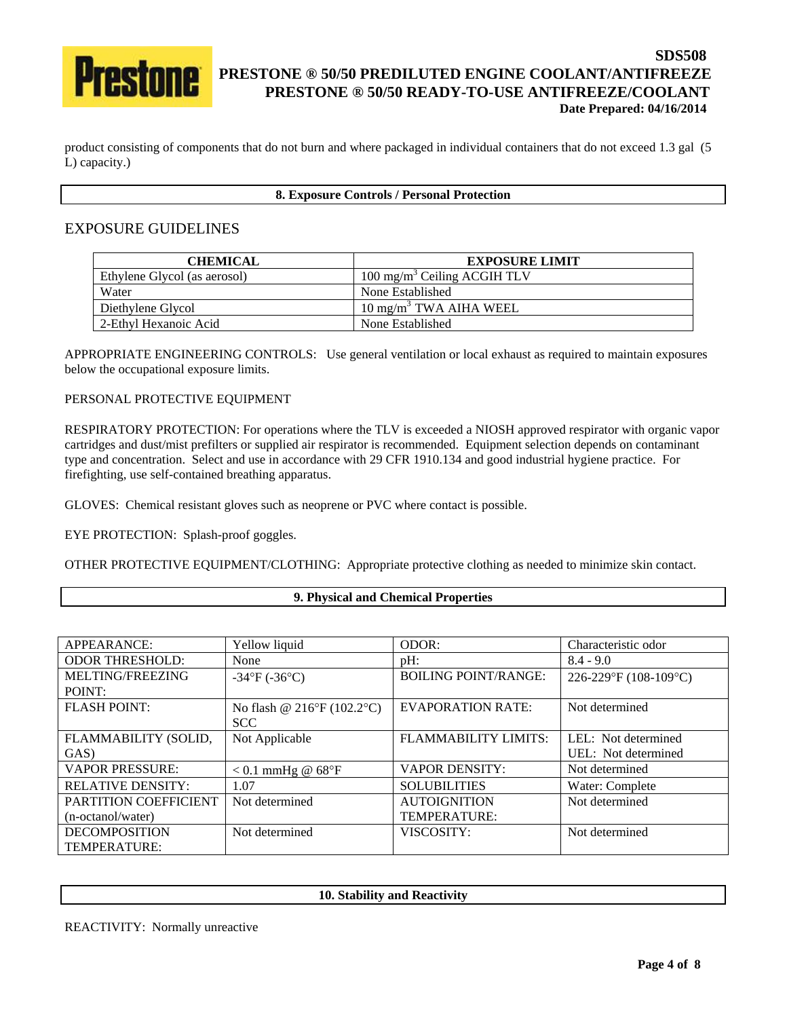

product consisting of components that do not burn and where packaged in individual containers that do not exceed 1.3 gal (5 L) capacity.)

## **8. Exposure Controls / Personal Protection**

# EXPOSURE GUIDELINES

| <b>CHEMICAL</b>              | <b>EXPOSURE LIMIT</b>                   |
|------------------------------|-----------------------------------------|
| Ethylene Glycol (as aerosol) | 100 mg/m <sup>3</sup> Ceiling ACGIH TLV |
| Water                        | None Established                        |
| Diethylene Glycol            | $10 \text{ mg/m}^3$ TWA AIHA WEEL       |
| 2-Ethyl Hexanoic Acid        | None Established                        |

APPROPRIATE ENGINEERING CONTROLS: Use general ventilation or local exhaust as required to maintain exposures below the occupational exposure limits.

## PERSONAL PROTECTIVE EQUIPMENT

RESPIRATORY PROTECTION: For operations where the TLV is exceeded a NIOSH approved respirator with organic vapor cartridges and dust/mist prefilters or supplied air respirator is recommended. Equipment selection depends on contaminant type and concentration. Select and use in accordance with 29 CFR 1910.134 and good industrial hygiene practice. For firefighting, use self-contained breathing apparatus.

GLOVES: Chemical resistant gloves such as neoprene or PVC where contact is possible.

EYE PROTECTION: Splash-proof goggles.

OTHER PROTECTIVE EQUIPMENT/CLOTHING: Appropriate protective clothing as needed to minimize skin contact.

#### **9. Physical and Chemical Properties**

| APPEARANCE:              | Yellow liquid                             | ODOR:                       | Characteristic odor   |
|--------------------------|-------------------------------------------|-----------------------------|-----------------------|
| <b>ODOR THRESHOLD:</b>   | None                                      | $pH$ :                      | $8.4 - 9.0$           |
| MELTING/FREEZING         | $-34^{\circ}F (-36^{\circ}C)$             | <b>BOILING POINT/RANGE:</b> | 226-229°F (108-109°C) |
| POINT:                   |                                           |                             |                       |
| <b>FLASH POINT:</b>      | No flash @ $216^{\circ}F(102.2^{\circ}C)$ | <b>EVAPORATION RATE:</b>    | Not determined        |
|                          | <b>SCC</b>                                |                             |                       |
| FLAMMABILITY (SOLID,     | Not Applicable                            | <b>FLAMMABILITY LIMITS:</b> | LEL: Not determined   |
| GAS)                     |                                           |                             | UEL: Not determined   |
| <b>VAPOR PRESSURE:</b>   | $< 0.1$ mmHg @ 68°F                       | <b>VAPOR DENSITY:</b>       | Not determined        |
| <b>RELATIVE DENSITY:</b> | 1.07                                      | <b>SOLUBILITIES</b>         | Water: Complete       |
| PARTITION COEFFICIENT    | Not determined                            | <b>AUTOIGNITION</b>         | Not determined        |
| (n-octanol/water)        |                                           | TEMPERATURE:                |                       |
| <b>DECOMPOSITION</b>     | Not determined                            | VISCOSITY:                  | Not determined        |
| TEMPERATURE:             |                                           |                             |                       |

**10. Stability and Reactivity** 

REACTIVITY: Normally unreactive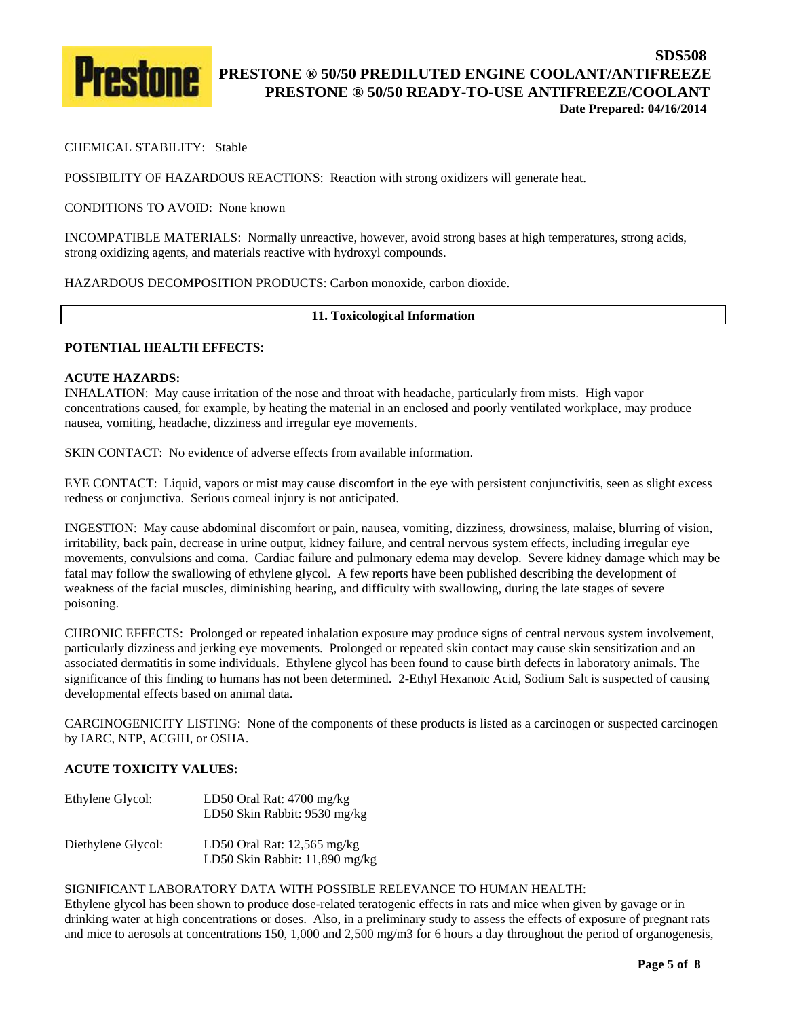

# CHEMICAL STABILITY: Stable

POSSIBILITY OF HAZARDOUS REACTIONS: Reaction with strong oxidizers will generate heat.

CONDITIONS TO AVOID: None known

INCOMPATIBLE MATERIALS: Normally unreactive, however, avoid strong bases at high temperatures, strong acids, strong oxidizing agents, and materials reactive with hydroxyl compounds.

HAZARDOUS DECOMPOSITION PRODUCTS: Carbon monoxide, carbon dioxide.

#### **11. Toxicological Information**

## **POTENTIAL HEALTH EFFECTS:**

#### **ACUTE HAZARDS:**

INHALATION: May cause irritation of the nose and throat with headache, particularly from mists. High vapor concentrations caused, for example, by heating the material in an enclosed and poorly ventilated workplace, may produce nausea, vomiting, headache, dizziness and irregular eye movements.

SKIN CONTACT: No evidence of adverse effects from available information.

EYE CONTACT: Liquid, vapors or mist may cause discomfort in the eye with persistent conjunctivitis, seen as slight excess redness or conjunctiva. Serious corneal injury is not anticipated.

INGESTION: May cause abdominal discomfort or pain, nausea, vomiting, dizziness, drowsiness, malaise, blurring of vision, irritability, back pain, decrease in urine output, kidney failure, and central nervous system effects, including irregular eye movements, convulsions and coma. Cardiac failure and pulmonary edema may develop. Severe kidney damage which may be fatal may follow the swallowing of ethylene glycol. A few reports have been published describing the development of weakness of the facial muscles, diminishing hearing, and difficulty with swallowing, during the late stages of severe poisoning.

CHRONIC EFFECTS: Prolonged or repeated inhalation exposure may produce signs of central nervous system involvement, particularly dizziness and jerking eye movements. Prolonged or repeated skin contact may cause skin sensitization and an associated dermatitis in some individuals. Ethylene glycol has been found to cause birth defects in laboratory animals. The significance of this finding to humans has not been determined. 2-Ethyl Hexanoic Acid, Sodium Salt is suspected of causing developmental effects based on animal data.

CARCINOGENICITY LISTING: None of the components of these products is listed as a carcinogen or suspected carcinogen by IARC, NTP, ACGIH, or OSHA.

#### **ACUTE TOXICITY VALUES:**

| Ethylene Glycol:   | LD50 Oral Rat: $4700$ mg/kg<br>LD50 Skin Rabbit: 9530 mg/kg     |
|--------------------|-----------------------------------------------------------------|
| Diethylene Glycol: | LD50 Oral Rat: $12,565$ mg/kg<br>LD50 Skin Rabbit: 11,890 mg/kg |

## SIGNIFICANT LABORATORY DATA WITH POSSIBLE RELEVANCE TO HUMAN HEALTH:

Ethylene glycol has been shown to produce dose-related teratogenic effects in rats and mice when given by gavage or in drinking water at high concentrations or doses. Also, in a preliminary study to assess the effects of exposure of pregnant rats and mice to aerosols at concentrations 150, 1,000 and 2,500 mg/m3 for 6 hours a day throughout the period of organogenesis,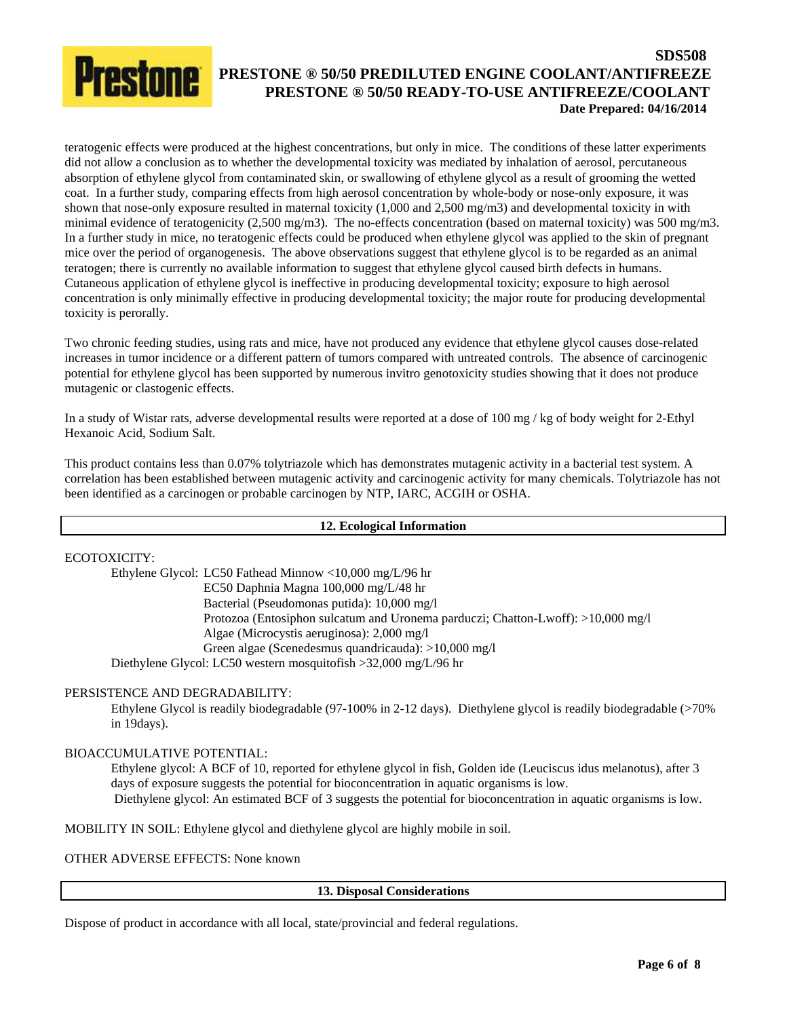teratogenic effects were produced at the highest concentrations, but only in mice. The conditions of these latter experiments did not allow a conclusion as to whether the developmental toxicity was mediated by inhalation of aerosol, percutaneous absorption of ethylene glycol from contaminated skin, or swallowing of ethylene glycol as a result of grooming the wetted coat. In a further study, comparing effects from high aerosol concentration by whole-body or nose-only exposure, it was shown that nose-only exposure resulted in maternal toxicity (1,000 and 2,500 mg/m3) and developmental toxicity in with minimal evidence of teratogenicity (2,500 mg/m3). The no-effects concentration (based on maternal toxicity) was 500 mg/m3. In a further study in mice, no teratogenic effects could be produced when ethylene glycol was applied to the skin of pregnant mice over the period of organogenesis. The above observations suggest that ethylene glycol is to be regarded as an animal teratogen; there is currently no available information to suggest that ethylene glycol caused birth defects in humans. Cutaneous application of ethylene glycol is ineffective in producing developmental toxicity; exposure to high aerosol concentration is only minimally effective in producing developmental toxicity; the major route for producing developmental toxicity is perorally.

Two chronic feeding studies, using rats and mice, have not produced any evidence that ethylene glycol causes dose-related increases in tumor incidence or a different pattern of tumors compared with untreated controls. The absence of carcinogenic potential for ethylene glycol has been supported by numerous invitro genotoxicity studies showing that it does not produce mutagenic or clastogenic effects.

In a study of Wistar rats, adverse developmental results were reported at a dose of 100 mg / kg of body weight for 2-Ethyl Hexanoic Acid, Sodium Salt.

This product contains less than 0.07% tolytriazole which has demonstrates mutagenic activity in a bacterial test system. A correlation has been established between mutagenic activity and carcinogenic activity for many chemicals. Tolytriazole has not been identified as a carcinogen or probable carcinogen by NTP, IARC, ACGIH or OSHA.

# **12. Ecological Information**

ECOTOXICITY:

Ethylene Glycol: LC50 Fathead Minnow <10,000 mg/L/96 hr EC50 Daphnia Magna 100,000 mg/L/48 hr Bacterial (Pseudomonas putida): 10,000 mg/l Protozoa (Entosiphon sulcatum and Uronema parduczi; Chatton-Lwoff): >10,000 mg/l Algae (Microcystis aeruginosa): 2,000 mg/l Green algae (Scenedesmus quandricauda): >10,000 mg/l Diethylene Glycol: LC50 western mosquitofish >32,000 mg/L/96 hr

# PERSISTENCE AND DEGRADABILITY:

 Ethylene Glycol is readily biodegradable (97-100% in 2-12 days). Diethylene glycol is readily biodegradable (>70% in 19days).

#### BIOACCUMULATIVE POTENTIAL:

Ethylene glycol: A BCF of 10, reported for ethylene glycol in fish, Golden ide (Leuciscus idus melanotus), after 3 days of exposure suggests the potential for bioconcentration in aquatic organisms is low. Diethylene glycol: An estimated BCF of 3 suggests the potential for bioconcentration in aquatic organisms is low.

MOBILITY IN SOIL: Ethylene glycol and diethylene glycol are highly mobile in soil.

OTHER ADVERSE EFFECTS: None known

**13. Disposal Considerations** 

Dispose of product in accordance with all local, state/provincial and federal regulations.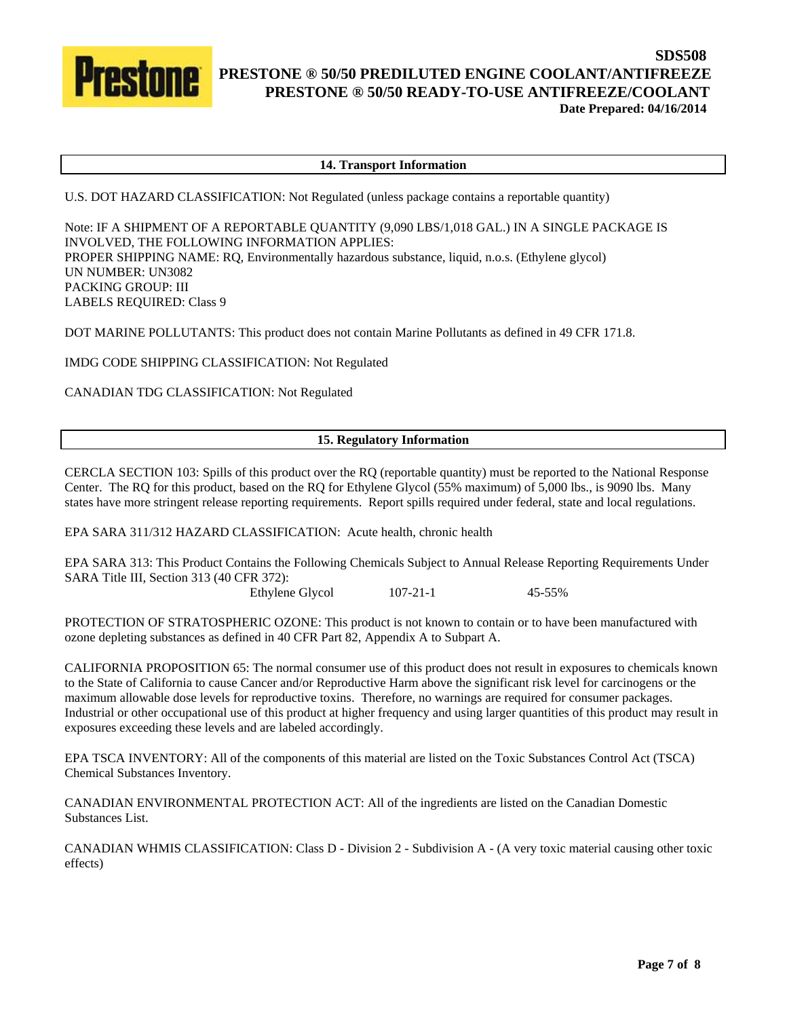

#### **14. Transport Information**

U.S. DOT HAZARD CLASSIFICATION: Not Regulated (unless package contains a reportable quantity)

Note: IF A SHIPMENT OF A REPORTABLE QUANTITY (9,090 LBS/1,018 GAL.) IN A SINGLE PACKAGE IS INVOLVED, THE FOLLOWING INFORMATION APPLIES: PROPER SHIPPING NAME: RQ, Environmentally hazardous substance, liquid, n.o.s. (Ethylene glycol) UN NUMBER: UN3082 PACKING GROUP: III LABELS REQUIRED: Class 9

DOT MARINE POLLUTANTS: This product does not contain Marine Pollutants as defined in 49 CFR 171.8.

IMDG CODE SHIPPING CLASSIFICATION: Not Regulated

CANADIAN TDG CLASSIFICATION: Not Regulated

## **15. Regulatory Information**

CERCLA SECTION 103: Spills of this product over the RQ (reportable quantity) must be reported to the National Response Center. The RQ for this product, based on the RQ for Ethylene Glycol (55% maximum) of 5,000 lbs., is 9090 lbs. Many states have more stringent release reporting requirements. Report spills required under federal, state and local regulations.

EPA SARA 311/312 HAZARD CLASSIFICATION: Acute health, chronic health

EPA SARA 313: This Product Contains the Following Chemicals Subject to Annual Release Reporting Requirements Under SARA Title III, Section 313 (40 CFR 372):

Ethylene Glycol 107-21-1 45-55%

PROTECTION OF STRATOSPHERIC OZONE: This product is not known to contain or to have been manufactured with ozone depleting substances as defined in 40 CFR Part 82, Appendix A to Subpart A.

CALIFORNIA PROPOSITION 65: The normal consumer use of this product does not result in exposures to chemicals known to the State of California to cause Cancer and/or Reproductive Harm above the significant risk level for carcinogens or the maximum allowable dose levels for reproductive toxins. Therefore, no warnings are required for consumer packages. Industrial or other occupational use of this product at higher frequency and using larger quantities of this product may result in exposures exceeding these levels and are labeled accordingly.

EPA TSCA INVENTORY: All of the components of this material are listed on the Toxic Substances Control Act (TSCA) Chemical Substances Inventory.

CANADIAN ENVIRONMENTAL PROTECTION ACT: All of the ingredients are listed on the Canadian Domestic Substances List.

CANADIAN WHMIS CLASSIFICATION: Class D - Division 2 - Subdivision A - (A very toxic material causing other toxic effects)